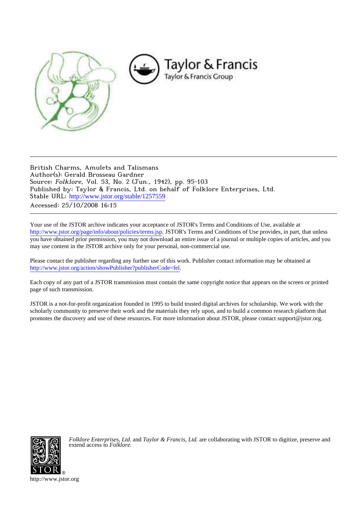

British Charms, Amulets and Talismans Author(s): Gerald Brosseau Gardner Source: Folklore, Vol. 53, No. 2 (Jun., 1942), pp. 95-103 Published by: Taylor & Francis, Ltd. on behalf of Folklore Enterprises, Ltd. Stable URL: [http://www.jstor.org/stable/1257559](http://www.jstor.org/stable/1257559?origin=JSTOR-pdf) Accessed: 25/10/2008 16:15

Your use of the JSTOR archive indicates your acceptance of JSTOR's Terms and Conditions of Use, available at <http://www.jstor.org/page/info/about/policies/terms.jsp>. JSTOR's Terms and Conditions of Use provides, in part, that unless you have obtained prior permission, you may not download an entire issue of a journal or multiple copies of articles, and you may use content in the JSTOR archive only for your personal, non-commercial use.

Please contact the publisher regarding any further use of this work. Publisher contact information may be obtained at [http://www.jstor.org/action/showPublisher?publisherCode=fel.](http://www.jstor.org/action/showPublisher?publisherCode=fel)

Each copy of any part of a JSTOR transmission must contain the same copyright notice that appears on the screen or printed page of such transmission.

JSTOR is a not-for-profit organization founded in 1995 to build trusted digital archives for scholarship. We work with the scholarly community to preserve their work and the materials they rely upon, and to build a common research platform that promotes the discovery and use of these resources. For more information about JSTOR, please contact support@jstor.org.



*Folklore Enterprises, Ltd.* and *Taylor & Francis, Ltd.* are collaborating with JSTOR to digitize, preserve and extend access to *Folklore.*

http://www.jstor.org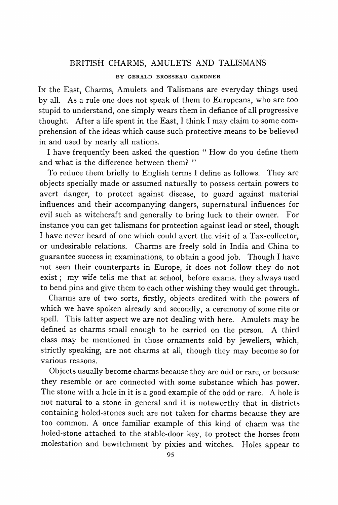### **BRITISH CHARMS, AMULETS AND TALISMANS**

#### **BY GERALD BROSSEAU GARDNER**

**IN the East, Charms, Amulets and Talismans are everyday things used by all. As a rule one does not speak of them to Europeans, who are too stupid to understand, one simply wears them in defiance of all progressive thought. After a life spent in the East, I think I may claim to some comprehension of the ideas which cause such protective means to be believed in and used by nearly all nations.** 

**I have frequently been asked the question " How do you define them and what is the difference between them? "** 

**To reduce them briefly to English terms I define as follows. They are objects specially made or assumed naturally to possess certain powers to avert danger, to protect against disease, to guard against material influences and their accompanying dangers, supernatural influences for evil such as witchcraft and generally to bring luck to their owner. For instance you can get talismans for protection against lead or steel, though I have never heard of one which could avert the visit of a Tax-collector, or undesirable relations. Charms are freely sold in India and China to guarantee success in examinations, to obtain a good job. Though I have not seen their counterparts in Europe, it does not follow they do not exist; my wife tells me that at school, before exams. they always used to bend pins and give them to each other wishing they would get through.** 

**Charms are of two sorts, firstly, objects credited with the powers of which we have spoken already and secondly, a ceremony of some rite or spell. This latter aspect we are not dealing with here. Amulets may be defined as charms small enough to be carried on the person. A third class may be mentioned in those ornaments sold by jewellers, which, strictly speaking, are not charms at all, though they may become so for various reasons.** 

**Objects usually become charms because they are odd or rare, or because they resemble or are connected with some substance which has power. The stone with a hole in it is a good example of the odd or rare. A hole is not natural to a stone in general and it is noteworthy that in districts containing holed-stones such are not taken for charms because they are too common. A once familiar example of this kind of charm was the holed-stone attached to the stable-door key, to protect the horses from molestation and bewitchment by pixies and witches. Holes appear to**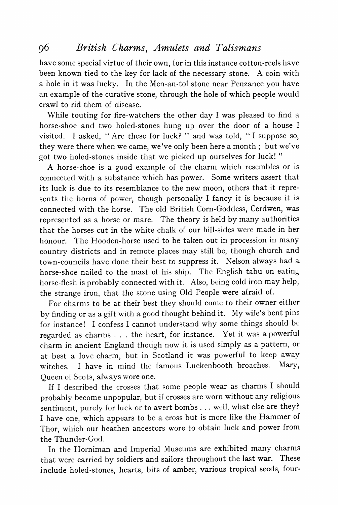**have some special virtue of their own, for in this instance cotton-reels have been known tied to the key for lack of the necessary stone. A coin with a hole in it was lucky. In the Men-an-tol stone near Penzance you have an example of the curative stone, through the hole of which people would crawl to rid them of disease.** 

**While touting for fire-watchers the other day I was pleased to find a horse-shoe and two holed-stones hung up over the door of a house I visited. I asked, "Are these for luck? " and was told, "I suppose so, they were there when we came, we've only been here a month; but we've got two holed-stones inside that we picked up ourselves for luck! "** 

**A horse-shoe is a good example of the charm which resembles or is connected with a substance which has power. Some writers assert that its luck is due to its resemblance to the new moon, others that it represents the horns of power, though personally I fancy it is because it is connected with the horse. The old British Corn-Goddess, Cerdwen, was represented as a horse or mare. The theory is held by many authorities that the horses cut in the white chalk of our hill-sides were made in her honour. The Hooden-horse used to be taken out in procession in many country districts and in remote places may still be, though church and town-councils have done their best to suppress it. Nelson always had a horse-shoe nailed to the mast of his ship. The English tabu on eating horse-flesh is probably connected with it. Also, being cold iron may help, the strange iron, that the stone using Old People were afraid of.** 

**For charms to be at their best they should come to their owner either by finding or as a gift with a good thought behind it. My wife's bent pins for instance! I confess I cannot understand why some things should be regarded as charms . . . the heart, for instance. Yet it was a powerful charm in ancient England though now it is used simply as a pattern, or at best a love charm, but in Scotland it was powerful to keep away**  witches. I have in mind the famous Luckenbooth broaches. **Queen of Scots, always wore one.** 

**If I described the crosses that some people wear as charms I should probably become unpopular, but if crosses are worn without any religious sentiment, purely for luck or to avert bombs . .. well, what else are they? I have one, which appears to be a cross but is more like the Hammer of Thor, which our heathen ancestors wore to obtain luck and power from the Thunder-God.** 

**In the Horniman and Imperial Museums are exhibited many charms that were carried by soldiers and sailors throughout the last war. These include holed-stones, hearts, bits of amber, various tropical seeds, four-**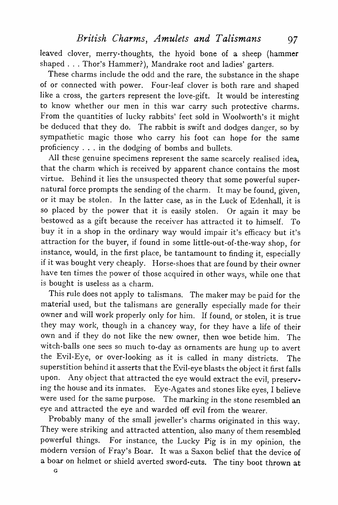**leaved clover, merry-thoughts, the hyoid bone of a sheep (hammer shaped . . . Thor's Hammer?), Mandrake root and ladies' garters.** 

**These charms include the odd and the rare, the substance in the shape of or connected with power. Four-leaf clover is both rare and shaped like a cross, the garters represent the love-gift. It would be interesting to know whether our men in this war carry such protective charms. From the quantities of lucky rabbits' feet sold in Woolworth's it might be deduced that they do. The rabbit is swift and dodges danger, so by sympathetic magic those who carry his foot can hope for the same proficiency . . . in the dodging of bombs and bullets.** 

**All these genuine specimens represent the same scarcely realised idea, that the charm which is received by apparent chance contains the most virtue. Behind it lies the unsuspected theory that some powerful supernatural force prompts the sending of the charm. It may be found, given, or it may be stolen. In the latter case, as in the Luck of Edenhall, it is so placed by the power that it is easily stolen. Or again it may be bestowed as a gift because the receiver has attracted it to himself. To buy it in a shop in the ordinary way would impair it's efficacy but it's attraction for the buyer, if found in some little-out-of-the-way shop, for instance, would, in the first place, be tantamount to finding it, especially if it was bought very cheaply. Horse-shoes that are found by their owner have ten times the power of those acquired in other ways, while one that is bought is useless as a charm.** 

**This rule does not apply to talismans. The maker may be paid for the material used, but the talismans are generally especially made for their owner and will work properly only for him. If found, or stolen, it is true they may work, though in a chancey way, for they have a life of their own and if they do not like the new owner, then woe betide him. The witch-balls one sees so much to-day as ornaments are hung up to avert the Evil-Eye, or over-looking as it is called in many districts. The superstition behind it asserts that the Evil-eye blasts the object it first falls upon. Any object that attracted the eye would extract the evil, preserving the house and its inmates. Eye-Agates and stones like eyes, I believe were used for the same purpose. The marking in the stone resembled an eye and attracted the eye and warded off evil from the wearer.** 

**Probably many of the small jeweller's charms originated in this way. They were striking and attracted attention, also many of them resembled powerful things. For instance, the Lucky Pig is in my opinion, the modern version of Fray's Boar. It was a Saxon belief that the device of a boar on helmet or shield averted sword-cuts. The tiny boot thrown at**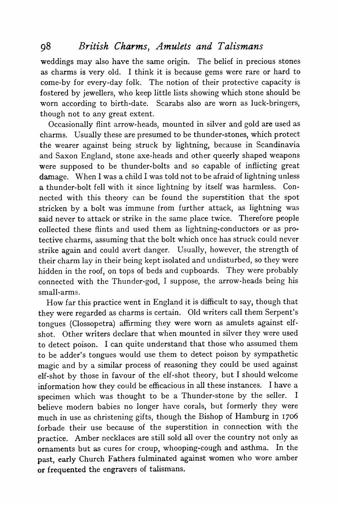**weddings may also have the same origin. The belief in precious stones as charms is very old. I think it is because gems were rare or hard to come-by for every-day folk. The notion of their protective capacity is fostered by jewellers, who keep little lists showing which stone should be worn according to birth-date. Scarabs also are worn as luck-bringers, though not to any great extent.** 

**Occasionally flint arrow-heads, mounted in silver and gold are used as charms. Usually these are presumed to be thunder-stones, which protect the wearer against being struck by lightning, because in Scandinavia and Saxon England, stone axe-heads and other queerly shaped weapons were supposed to be thunder-bolts and so capable of inflicting great damage. When I was a child I was told not to be afraid of lightning unless a thunder-bolt fell with it since lightning by itself was harmless. Connected with this theory can be found the superstition that the spot stricken by a bolt was immune from further attack, as lightning was said never to attack or strike in the same place twice. Therefore people collected these flints and used them as lightning-conductors or as protective charms, assuming that the bolt which once has struck could never strike again and could avert danger. Usually, however, the strength of their charm lay in their being kept isolated and undisturbed, so they were hidden in the roof, on tops of beds and cupboards. They were probably connected with the Thunder-god, I suppose, the arrow-heads being his small-arms.** 

**How far this practice went in England it is difficult to say, though that they were regarded as charms is certain. Old writers call them Serpent's tongues (Clossopetra) affirming they were worn as amulets against elfshot. Other writers declare that when mounted in silver they were used to detect poison. I can quite understand that those who assumed them to be adder's tongues would use them to detect poison by sympathetic magic and by a similar process of reasoning they could be used against elf-shot by those in favour of the elf-shot theory, but I should welcome information how they could be efficacious in all these instances. I have a specimen which was thought to be a Thunder-stone by the seller. I believe modern babies no longer have corals, but formerly they were much in use as christening gifts, though the Bishop of Hamburg in I706 forbade their use because of the superstition in connection with the practice. Amber necklaces are still sold all over the country not only as ornaments but as cures for croup, whooping-cough and asthma. In the past, early Church Fathers fulminated against women who wore amber or frequented the engravers of talismans.**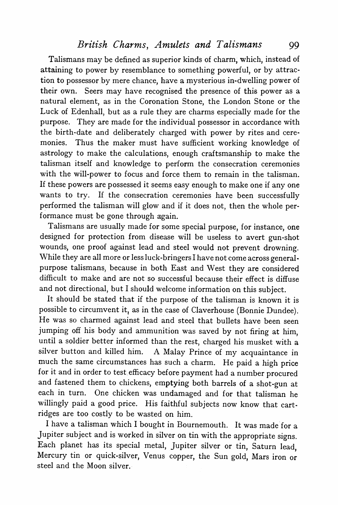**Talismans may be defined as superior kinds of charm, which, instead of attaining to power by resemblance to something powerful, or by attraction to possessorby mere chance, have a mysterious in-dwelling power of their own. Seers may have recognised the presence of this power as a natural element, as in the Coronation Stone, the London Stone or the Luck of Edenhall, but as a rule they are charms especially made for the purpose. They are made for the individual possessor in accordance with the birth-date and deliberately charged with power by rites and ceremonies. Thus the maker must have sufficient working knowledge of astrology to make the calculations, enough craftsmanship to make the talisman itself and knowledge to perform the consecration ceremonies with the will-power to focus and force them to remain in the talisman. If these powers are possessed it seems easy enough to make one if any one wants to try. If the consecration ceremonies have been successfully performed the talisman will glow and if it does not, then the whole performance must be gone through again.** 

**Talismans are usually made for some special purpose, for instance, one designed for protection from disease will be useless to avert gun-shot wounds, one proof against lead and steel would not prevent drowning. While they are all more or less luck-bringers I have not come across generalpurpose talismans, because in both East and West they are considered difficult to make and are not so successful because their effect is diffuse and not directional, but I should welcome information on this subject.** 

**It should be stated that if the purpose of the talisman is known it is possible to circumvent it, as in the case of Claverhouse (Bonnie Dundee). He was so charmed against lead and steel that bullets have been seen jumping off his body and ammunition was saved by not firing at him, until a soldier better informed than the rest, charged his musket with a**  A Malay Prince of my acquaintance in **much the same circumstances has such a charm. He paid a high price for it and in order to test efficacy before payment had a number procured and fastened them to chickens, emptying both barrels of a shot-gun at each in turn. One chicken was undamaged and for that talisman he willingly paid a good price. His faithful subjects now know that cartridges are too costly to be wasted on him.** 

**I have a talisman which I bought in Bournemouth. It was made for a Jupiter subject and is worked in silver on tin with the appropriate signs. Each planet has its special metal, Jupiter silver or tin, Saturn lead, Mercury tin or quick-silver, Venus copper, the Sun gold, Mars iron or steel and the Moon silver.**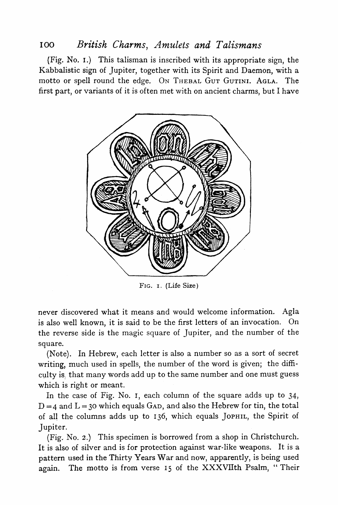## **100 British Charms, Amulets and Talismans**

**(Fig. No. I.) This talisman is inscribed with its appropriate sign, the Kabbalistic sign of Jupiter, together with its Spirit and Daemon, with a motto or spell round the edge. ON THEBAL GUT GUTINI. AGLA. The first part, or variants of it is often met with on ancient charms, but I have** 



**FIG. I. (Life Size)** 

**never discovered what it means and would welcome information. Agla is also well known, it is said to be the first letters of an invocation. On the reverse side is the magic square of Jupiter, and the number of the square.** 

**(Note). In Hebrew, each letter is also a number so as a sort of secret writing, much used in spells, the number of the word is given; the difficulty is. that many words add up to the same number and one must guess which is right or meant.** 

**In the case of Fig. No. I, each column of the square adds up to 34, D =4 and L = 30 which equals GAD, and also the Hebrew for tin, the total of all the columns adds up to 136, which equals JOPHIL, the Spirit of Jupiter.** 

**(Fig. No. 2.) This specimen is borrowed from a shop in Christchurch. It is also of silver and is for protection against war-like weapons. It is a pattern used in the Thirty Years War and now, apparently, is being used again. The motto is from verse 15 of the XXXVIIth Psalm, "Their**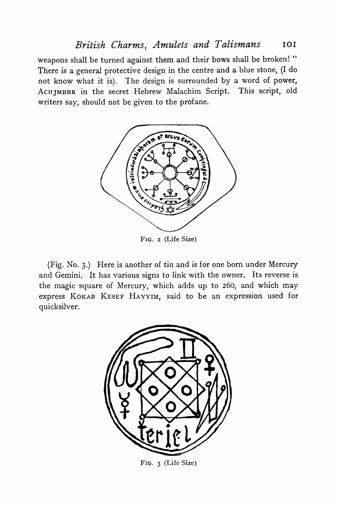**British Charms, Amulets and Talismans IOI** 

**weapons shall be turned against them and their bows shall be broken! " There is a general protective design in the centre and a blue stone, (I do not know what it is). The design is surrounded by a word of power, ACHJMBBR in the secret Hebrew Malachim Script. This script, old writers say, should not be given to the profane.** 



**(Fig. No. 3.) Here is another of tin and is for one born under Mercury and Gemini. It has various signs to link with the owner. Its reverse is the magic square of Mercury, which adds up to 260, and which may express KOKAB KESEF HAYYIM, said to be an expression used for quicksilver.** 



**FIG. 3 (Life Size)**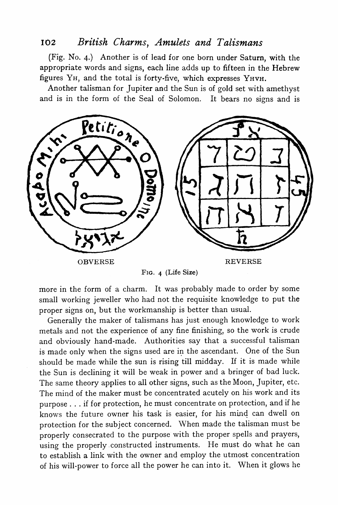# **<sup>102</sup>British Charms, Amulets and Talismans**

**(Fig. No. 4.) Another is of lead for one born under Saturn, with the appropriate words and signs, each line adds up to fifteen in the Hebrew**  figures Y<sub>H</sub>, and the total is forty-five, which expresses Y<sub>HVH</sub>.

**Another talisman for Jupiter and the Sun is of gold set with amethyst and is in the form of the Seal of Solomon. It bears no signs and is** 



**FIG. 4 (Life Size)** 

**more in the form of a charm. It was probably made to order by some small working jeweller who had not the requisite knowledge to put the proper signs on, but the workmanship is better than usual.** 

**Generally the maker of talismans has just enough knowledge to work metals and not the experience of any fine finishing, so the work is crude and obviously hand-made. Authorities say that a successful talisman is made only when the signs used are in the ascendant. One of the Sun should be made while the sun is rising till midday. If it is made while the Sun is declining it will be weak in power and a bringer of bad luck. The same theory applies to all other signs, such as the Moon, Jupiter, etc. The mind of the maker must be concentrated acutely on his work and its purpose... if for protection, he must concentrate on protection, and if he knows the future owner his task is easier, for his mind can dwell on protection for the subject concerned. When made the talisman must be properly consecrated to the purpose with the proper spells and prayers, using the properly constructed instruments. He must do what he can to establish a link with the owner and employ the utmost concentration of his will-power to force all the power he can into it. When it glows he of his will-power to force all the power he can into it. When it glows he**